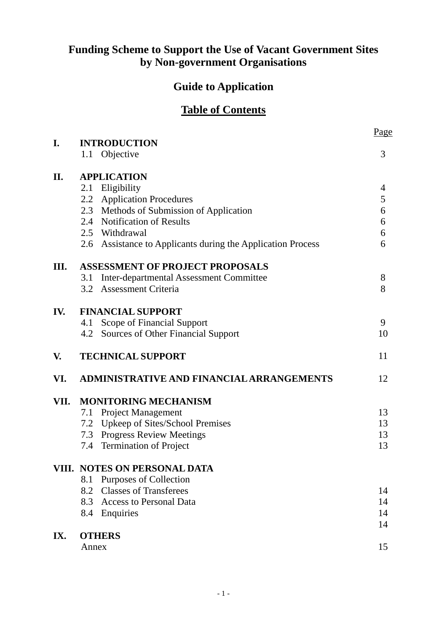# **Funding Scheme to Support the Use of Vacant Government Sites by Non-government Organisations**

# **Guide to Application**

# **Table of Contents**

| I.   |                                                                | Page     |  |  |
|------|----------------------------------------------------------------|----------|--|--|
|      | <b>INTRODUCTION</b><br>Objective<br>1.1                        | 3        |  |  |
| II.  | <b>APPLICATION</b>                                             |          |  |  |
|      | 2.1 Eligibility                                                | 4        |  |  |
|      | <b>Application Procedures</b><br>2.2                           | 5        |  |  |
|      | 2.3 Methods of Submission of Application                       | 6        |  |  |
|      | 2.4 Notification of Results                                    | 6        |  |  |
|      | 2.5 Withdrawal                                                 | 6        |  |  |
|      | Assistance to Applicants during the Application Process<br>2.6 | 6        |  |  |
| Ш.   | <b>ASSESSMENT OF PROJECT PROPOSALS</b>                         |          |  |  |
|      | Inter-departmental Assessment Committee<br>3.1                 | 8        |  |  |
|      | <b>Assessment Criteria</b><br>3.2                              | 8        |  |  |
| IV.  | <b>FINANCIAL SUPPORT</b>                                       |          |  |  |
|      | 4.1 Scope of Financial Support                                 | 9        |  |  |
|      | 4.2 Sources of Other Financial Support                         | 10       |  |  |
| V.   | <b>TECHNICAL SUPPORT</b>                                       | 11       |  |  |
| VI.  | <b>ADMINISTRATIVE AND FINANCIAL ARRANGEMENTS</b>               | 12       |  |  |
| VII. | <b>MONITORING MECHANISM</b>                                    |          |  |  |
|      | <b>Project Management</b><br>7.1                               | 13       |  |  |
|      | Upkeep of Sites/School Premises<br>7.2                         | 13       |  |  |
|      | 7.3 Progress Review Meetings                                   | 13       |  |  |
|      | <b>Termination of Project</b><br>7.4                           | 13       |  |  |
|      | VIII. NOTES ON PERSONAL DATA                                   |          |  |  |
|      | <b>Purposes of Collection</b><br>8.1                           |          |  |  |
|      | <b>Classes of Transferees</b><br>8.2                           | 14       |  |  |
|      | 8.3 Access to Personal Data                                    | 14       |  |  |
|      | 8.4<br>Enquiries                                               | 14<br>14 |  |  |
| IX.  | <b>OTHERS</b>                                                  |          |  |  |
|      | Annex                                                          |          |  |  |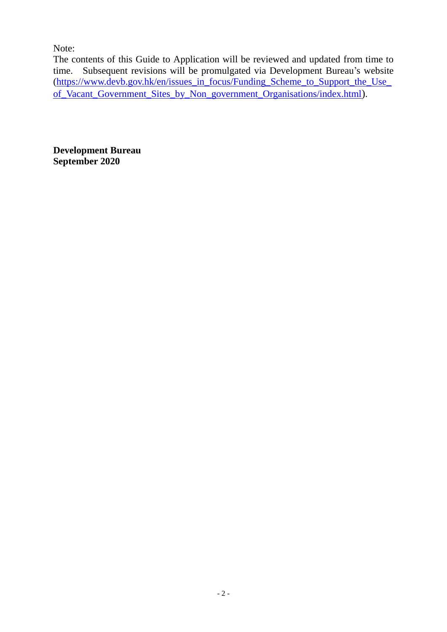Note:

The contents of this Guide to Application will be reviewed and updated from time to time. Subsequent revisions will be promulgated via Development Bureau's website [\(https://www.devb.gov.hk/en/issues\\_in\\_focus/Funding\\_Scheme\\_to\\_Support\\_the\\_Use\\_](https://www.devb.gov.hk/en/issues_in_focus/Funding_Scheme_to_Support_the_Use_of_Vacant_Government_Sites_by_Non_government_Organisations/index.html) of Vacant Government Sites by Non government Organisations/index.html).

**Development Bureau September 2020**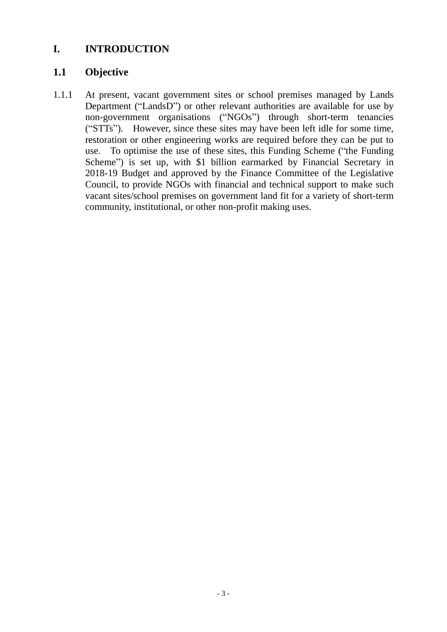# <span id="page-2-0"></span>**I. INTRODUCTION**

# <span id="page-2-1"></span>**1.1 Objective**

1.1.1 At present, vacant government sites or school premises managed by Lands Department ("LandsD") or other relevant authorities are available for use by non-government organisations ("NGOs") through short-term tenancies ("STTs"). However, since these sites may have been left idle for some time, restoration or other engineering works are required before they can be put to use. To optimise the use of these sites, this Funding Scheme ("the Funding Scheme") is set up, with \$1 billion earmarked by Financial Secretary in 2018-19 Budget and approved by the Finance Committee of the Legislative Council, to provide NGOs with financial and technical support to make such vacant sites/school premises on government land fit for a variety of short-term community, institutional, or other non-profit making uses.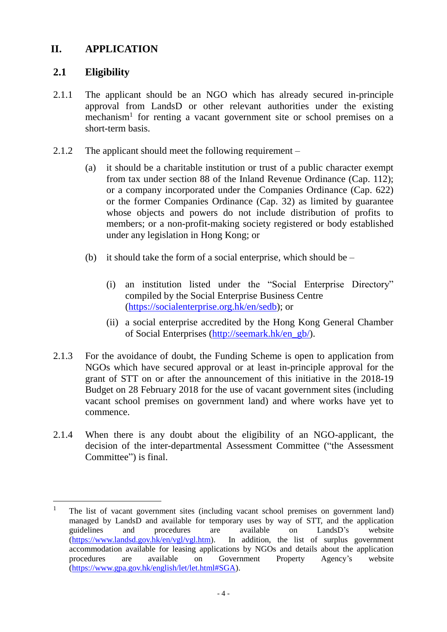# <span id="page-3-0"></span>**II. APPLICATION**

## <span id="page-3-1"></span>**2.1 Eligibility**

 $\overline{a}$ 

- 2.1.1 The applicant should be an NGO which has already secured in-principle approval from LandsD or other relevant authorities under the existing mechanism<sup>1</sup> for renting a vacant government site or school premises on a short-term basis.
- 2.1.2 The applicant should meet the following requirement
	- (a) it should be a charitable institution or trust of a public character exempt from tax under section 88 of the Inland Revenue Ordinance (Cap. 112); or a company incorporated under the Companies Ordinance (Cap. 622) or the former Companies Ordinance (Cap. 32) as limited by guarantee whose objects and powers do not include distribution of profits to members; or a non-profit-making society registered or body established under any legislation in Hong Kong; or
	- (b) it should take the form of a social enterprise, which should be  $-$ 
		- (i) an institution listed under the "Social Enterprise Directory" compiled by the Social Enterprise Business Centre [\(https://socialenterprise.org.hk/en/sedb\)](https://socialenterprise.org.hk/en/sedb); or
		- (ii) a social enterprise accredited by the Hong Kong General Chamber of Social Enterprises [\(http://seemark.hk/en\\_gb/\)](http://seemark.hk/en_gb/).
- 2.1.3 For the avoidance of doubt, the Funding Scheme is open to application from NGOs which have secured approval or at least in-principle approval for the grant of STT on or after the announcement of this initiative in the 2018-19 Budget on 28 February 2018 for the use of vacant government sites (including vacant school premises on government land) and where works have yet to commence.
- 2.1.4 When there is any doubt about the eligibility of an NGO-applicant, the decision of the inter-departmental Assessment Committee ("the Assessment Committee") is final.

<sup>&</sup>lt;sup>1</sup> The list of vacant government sites (including vacant school premises on government land) managed by LandsD and available for temporary uses by way of STT, and the application guidelines and procedures are available on LandsD's website [\(https://www.landsd.gov.hk/en/vgl/vgl.htm\)](https://www.landsd.gov.hk/en/vgl/vgl.htm). In addition, the list of surplus government accommodation available for leasing applications by NGOs and details about the application procedures are available on Government Property Agency's website [\(https://www.gpa.gov.hk/english/let/let.html#SGA\)](https://www.gpa.gov.hk/english/let/let.html#SGA).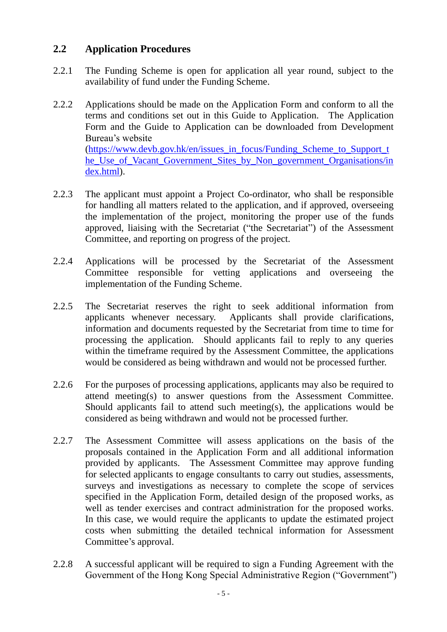# <span id="page-4-0"></span>**2.2 Application Procedures**

- 2.2.1 The Funding Scheme is open for application all year round, subject to the availability of fund under the Funding Scheme.
- 2.2.2 Applications should be made on the Application Form and conform to all the terms and conditions set out in this Guide to Application. The Application Form and the Guide to Application can be downloaded from Development Bureau's website………………………………………………………………... [\(https://www.devb.gov.hk/en/issues\\_in\\_focus/Funding\\_Scheme\\_to\\_Support\\_t](https://www.devb.gov.hk/en/issues_in_focus/Funding_Scheme_to_Support_the_Use_of_Vacant_Government_Sites_by_Non_government_Organisations/index.html) he Use of Vacant Government Sites by Non government Organisations/in [dex.html\)](https://www.devb.gov.hk/en/issues_in_focus/Funding_Scheme_to_Support_the_Use_of_Vacant_Government_Sites_by_Non_government_Organisations/index.html).
- 2.2.3 The applicant must appoint a Project Co-ordinator, who shall be responsible for handling all matters related to the application, and if approved, overseeing the implementation of the project, monitoring the proper use of the funds approved, liaising with the Secretariat ("the Secretariat") of the Assessment Committee, and reporting on progress of the project.
- 2.2.4 Applications will be processed by the Secretariat of the Assessment Committee responsible for vetting applications and overseeing the implementation of the Funding Scheme.
- 2.2.5 The Secretariat reserves the right to seek additional information from applicants whenever necessary. Applicants shall provide clarifications, information and documents requested by the Secretariat from time to time for processing the application. Should applicants fail to reply to any queries within the timeframe required by the Assessment Committee, the applications would be considered as being withdrawn and would not be processed further.
- 2.2.6 For the purposes of processing applications, applicants may also be required to attend meeting(s) to answer questions from the Assessment Committee. Should applicants fail to attend such meeting(s), the applications would be considered as being withdrawn and would not be processed further.
- 2.2.7 The Assessment Committee will assess applications on the basis of the proposals contained in the Application Form and all additional information provided by applicants. The Assessment Committee may approve funding for selected applicants to engage consultants to carry out studies, assessments, surveys and investigations as necessary to complete the scope of services specified in the Application Form, detailed design of the proposed works, as well as tender exercises and contract administration for the proposed works. In this case, we would require the applicants to update the estimated project costs when submitting the detailed technical information for Assessment Committee's approval.
- 2.2.8 A successful applicant will be required to sign a Funding Agreement with the Government of the Hong Kong Special Administrative Region ("Government")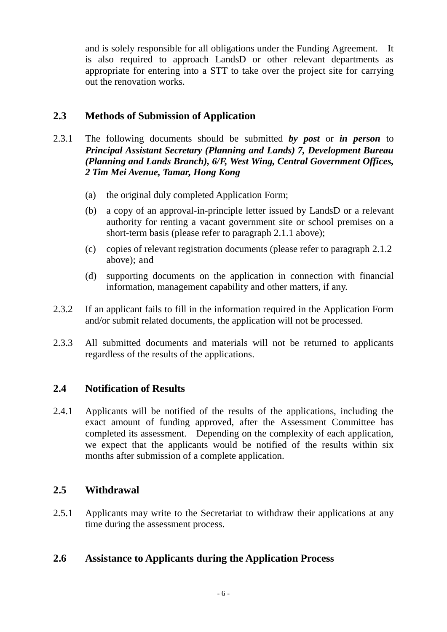and is solely responsible for all obligations under the Funding Agreement. It is also required to approach LandsD or other relevant departments as appropriate for entering into a STT to take over the project site for carrying out the renovation works.

# <span id="page-5-0"></span>**2.3 Methods of Submission of Application**

- 2.3.1 The following documents should be submitted *by post* or *in person* to *Principal Assistant Secretary (Planning and Lands) 7, Development Bureau (Planning and Lands Branch), 6/F, West Wing, Central Government Offices, 2 Tim Mei Avenue, Tamar, Hong Kong* –
	- (a) the original duly completed Application Form;
	- (b) a copy of an approval-in-principle letter issued by LandsD or a relevant authority for renting a vacant government site or school premises on a short-term basis (please refer to paragraph 2.1.1 above);
	- (c) copies of relevant registration documents (please refer to paragraph 2.1.2 above); and
	- (d) supporting documents on the application in connection with financial information, management capability and other matters, if any.
- 2.3.2 If an applicant fails to fill in the information required in the Application Form and/or submit related documents, the application will not be processed.
- 2.3.3 All submitted documents and materials will not be returned to applicants regardless of the results of the applications.

## <span id="page-5-1"></span>**2.4 Notification of Results**

2.4.1 Applicants will be notified of the results of the applications, including the exact amount of funding approved, after the Assessment Committee has completed its assessment. Depending on the complexity of each application, we expect that the applicants would be notified of the results within six months after submission of a complete application.

## <span id="page-5-2"></span>**2.5 Withdrawal**

2.5.1 Applicants may write to the Secretariat to withdraw their applications at any time during the assessment process.

## <span id="page-5-3"></span>**2.6 Assistance to Applicants during the Application Process**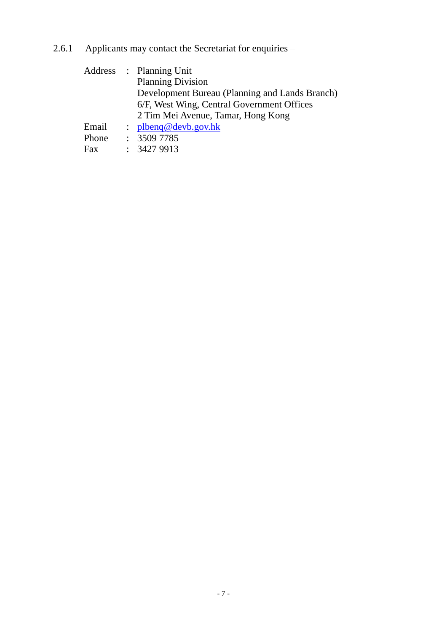2.6.1 Applicants may contact the Secretariat for enquiries –

|       | Address : Planning Unit                        |
|-------|------------------------------------------------|
|       | <b>Planning Division</b>                       |
|       | Development Bureau (Planning and Lands Branch) |
|       | 6/F, West Wing, Central Government Offices     |
|       | 2 Tim Mei Avenue, Tamar, Hong Kong             |
| Email | : plbeng@devb.gov.hk                           |
| Phone | : 35097785                                     |
| Fax   | : 34279913                                     |
|       |                                                |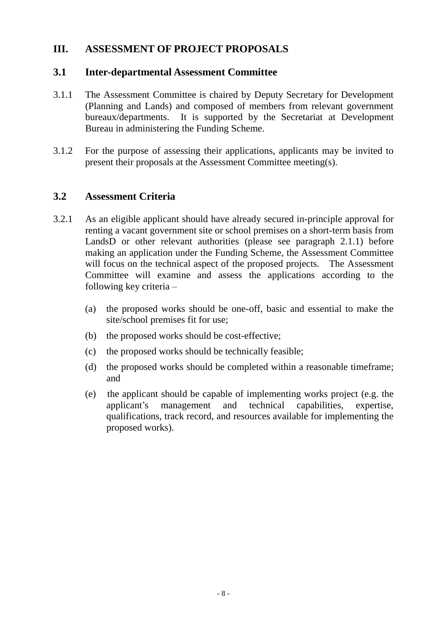# <span id="page-7-0"></span>**III. ASSESSMENT OF PROJECT PROPOSALS**

#### <span id="page-7-1"></span>**3.1 Inter-departmental Assessment Committee**

- 3.1.1 The Assessment Committee is chaired by Deputy Secretary for Development (Planning and Lands) and composed of members from relevant government bureaux/departments. It is supported by the Secretariat at Development Bureau in administering the Funding Scheme.
- 3.1.2 For the purpose of assessing their applications, applicants may be invited to present their proposals at the Assessment Committee meeting(s).

## <span id="page-7-2"></span>**3.2 Assessment Criteria**

- 3.2.1 As an eligible applicant should have already secured in-principle approval for renting a vacant government site or school premises on a short-term basis from LandsD or other relevant authorities (please see paragraph 2.1.1) before making an application under the Funding Scheme, the Assessment Committee will focus on the technical aspect of the proposed projects. The Assessment Committee will examine and assess the applications according to the following key criteria –
	- (a) the proposed works should be one-off, basic and essential to make the site/school premises fit for use;
	- (b) the proposed works should be cost-effective;
	- (c) the proposed works should be technically feasible;
	- (d) the proposed works should be completed within a reasonable timeframe; and
	- (e) the applicant should be capable of implementing works project (e.g. the applicant's management and technical capabilities, expertise, qualifications, track record, and resources available for implementing the proposed works).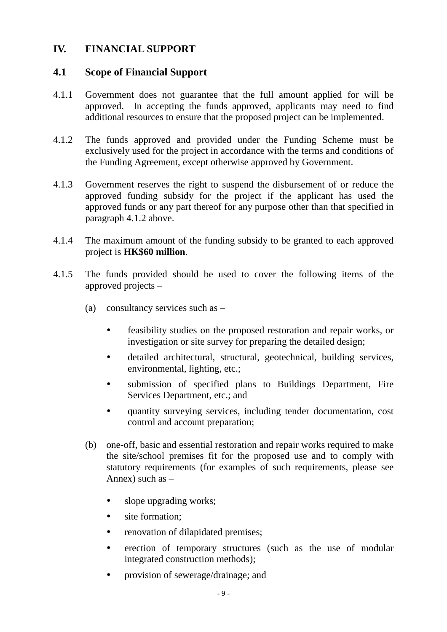# <span id="page-8-0"></span>**IV. FINANCIAL SUPPORT**

#### <span id="page-8-1"></span>**4.1 Scope of Financial Support**

- 4.1.1 Government does not guarantee that the full amount applied for will be approved. In accepting the funds approved, applicants may need to find additional resources to ensure that the proposed project can be implemented.
- 4.1.2 The funds approved and provided under the Funding Scheme must be exclusively used for the project in accordance with the terms and conditions of the Funding Agreement, except otherwise approved by Government.
- 4.1.3 Government reserves the right to suspend the disbursement of or reduce the approved funding subsidy for the project if the applicant has used the approved funds or any part thereof for any purpose other than that specified in paragraph 4.1.2 above.
- 4.1.4 The maximum amount of the funding subsidy to be granted to each approved project is **HK\$60 million**.
- 4.1.5 The funds provided should be used to cover the following items of the approved projects –
	- (a) consultancy services such as
		- feasibility studies on the proposed restoration and repair works, or investigation or site survey for preparing the detailed design;
		- detailed architectural, structural, geotechnical, building services, environmental, lighting, etc.;
		- submission of specified plans to Buildings Department, Fire Services Department, etc.; and
		- quantity surveying services, including tender documentation, cost control and account preparation;
	- (b) one-off, basic and essential restoration and repair works required to make the site/school premises fit for the proposed use and to comply with statutory requirements (for examples of such requirements, please see Annex) such as  $-$ 
		- slope upgrading works;
		- site formation:
		- renovation of dilapidated premises;
		- erection of temporary structures (such as the use of modular integrated construction methods);
		- provision of sewerage/drainage; and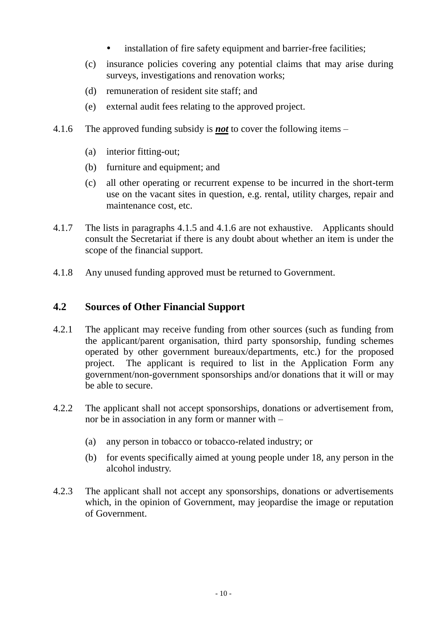- installation of fire safety equipment and barrier-free facilities;
- (c) insurance policies covering any potential claims that may arise during surveys, investigations and renovation works;
- (d) remuneration of resident site staff; and
- (e) external audit fees relating to the approved project.
- 4.1.6 The approved funding subsidy is *not* to cover the following items
	- (a) interior fitting-out;
	- (b) furniture and equipment; and
	- (c) all other operating or recurrent expense to be incurred in the short-term use on the vacant sites in question, e.g. rental, utility charges, repair and maintenance cost, etc.
- 4.1.7 The lists in paragraphs 4.1.5 and 4.1.6 are not exhaustive. Applicants should consult the Secretariat if there is any doubt about whether an item is under the scope of the financial support.
- 4.1.8 Any unused funding approved must be returned to Government.

## <span id="page-9-0"></span>**4.2 Sources of Other Financial Support**

- 4.2.1 The applicant may receive funding from other sources (such as funding from the applicant/parent organisation, third party sponsorship, funding schemes operated by other government bureaux/departments, etc.) for the proposed project. The applicant is required to list in the Application Form any government/non-government sponsorships and/or donations that it will or may be able to secure.
- 4.2.2 The applicant shall not accept sponsorships, donations or advertisement from, nor be in association in any form or manner with –
	- (a) any person in tobacco or tobacco-related industry; or
	- (b) for events specifically aimed at young people under 18, any person in the alcohol industry.
- 4.2.3 The applicant shall not accept any sponsorships, donations or advertisements which, in the opinion of Government, may jeopardise the image or reputation of Government.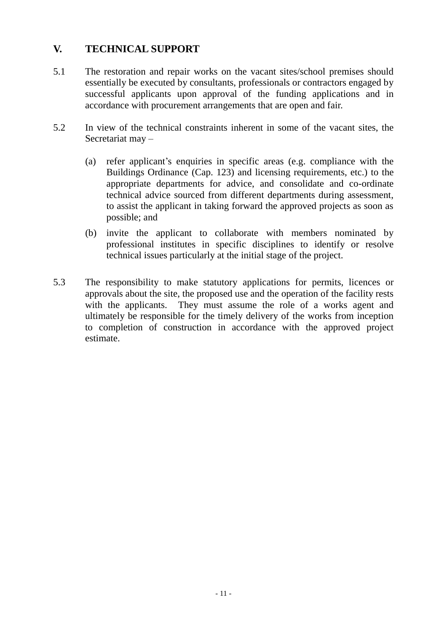# <span id="page-10-0"></span>**V. TECHNICAL SUPPORT**

- 5.1 The restoration and repair works on the vacant sites/school premises should essentially be executed by consultants, professionals or contractors engaged by successful applicants upon approval of the funding applications and in accordance with procurement arrangements that are open and fair.
- 5.2 In view of the technical constraints inherent in some of the vacant sites, the Secretariat may –
	- (a) refer applicant's enquiries in specific areas (e.g. compliance with the Buildings Ordinance (Cap. 123) and licensing requirements, etc.) to the appropriate departments for advice, and consolidate and co-ordinate technical advice sourced from different departments during assessment, to assist the applicant in taking forward the approved projects as soon as possible; and
	- (b) invite the applicant to collaborate with members nominated by professional institutes in specific disciplines to identify or resolve technical issues particularly at the initial stage of the project.
- 5.3 The responsibility to make statutory applications for permits, licences or approvals about the site, the proposed use and the operation of the facility rests with the applicants. They must assume the role of a works agent and ultimately be responsible for the timely delivery of the works from inception to completion of construction in accordance with the approved project estimate.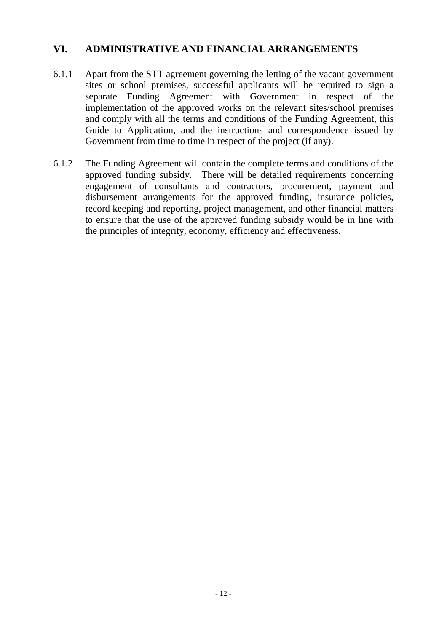## <span id="page-11-0"></span>**VI. ADMINISTRATIVE AND FINANCIAL ARRANGEMENTS**

- 6.1.1 Apart from the STT agreement governing the letting of the vacant government sites or school premises, successful applicants will be required to sign a separate Funding Agreement with Government in respect of the implementation of the approved works on the relevant sites/school premises and comply with all the terms and conditions of the Funding Agreement, this Guide to Application, and the instructions and correspondence issued by Government from time to time in respect of the project (if any).
- 6.1.2 The Funding Agreement will contain the complete terms and conditions of the approved funding subsidy. There will be detailed requirements concerning engagement of consultants and contractors, procurement, payment and disbursement arrangements for the approved funding, insurance policies, record keeping and reporting, project management, and other financial matters to ensure that the use of the approved funding subsidy would be in line with the principles of integrity, economy, efficiency and effectiveness.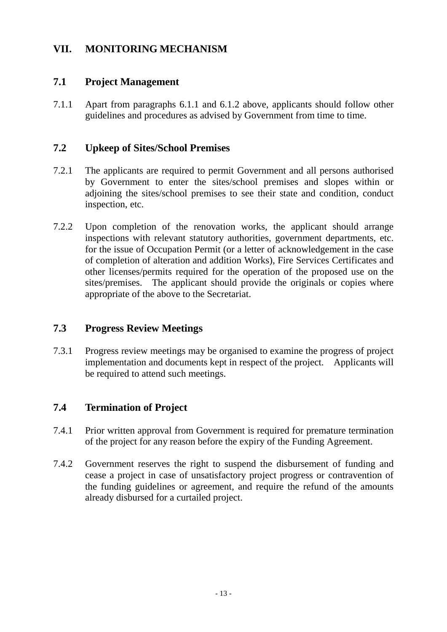# <span id="page-12-0"></span>**VII. MONITORING MECHANISM**

# <span id="page-12-1"></span>**7.1 Project Management**

7.1.1 Apart from paragraphs 6.1.1 and 6.1.2 above, applicants should follow other guidelines and procedures as advised by Government from time to time.

# <span id="page-12-2"></span>**7.2 Upkeep of Sites/School Premises**

- 7.2.1 The applicants are required to permit Government and all persons authorised by Government to enter the sites/school premises and slopes within or adjoining the sites/school premises to see their state and condition, conduct inspection, etc.
- 7.2.2 Upon completion of the renovation works, the applicant should arrange inspections with relevant statutory authorities, government departments, etc. for the issue of Occupation Permit (or a letter of acknowledgement in the case of completion of alteration and addition Works), Fire Services Certificates and other licenses/permits required for the operation of the proposed use on the sites/premises. The applicant should provide the originals or copies where appropriate of the above to the Secretariat.

# <span id="page-12-3"></span>**7.3 Progress Review Meetings**

7.3.1 Progress review meetings may be organised to examine the progress of project implementation and documents kept in respect of the project. Applicants will be required to attend such meetings.

# <span id="page-12-4"></span>**7.4 Termination of Project**

- 7.4.1 Prior written approval from Government is required for premature termination of the project for any reason before the expiry of the Funding Agreement.
- 7.4.2 Government reserves the right to suspend the disbursement of funding and cease a project in case of unsatisfactory project progress or contravention of the funding guidelines or agreement, and require the refund of the amounts already disbursed for a curtailed project.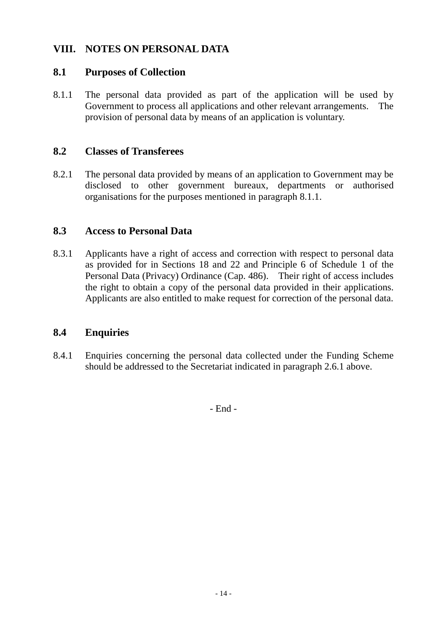# <span id="page-13-0"></span>**VIII. NOTES ON PERSONAL DATA**

#### <span id="page-13-1"></span>**8.1 Purposes of Collection**

8.1.1 The personal data provided as part of the application will be used by Government to process all applications and other relevant arrangements. The provision of personal data by means of an application is voluntary.

#### <span id="page-13-2"></span>**8.2 Classes of Transferees**

8.2.1 The personal data provided by means of an application to Government may be disclosed to other government bureaux, departments or authorised organisations for the purposes mentioned in paragraph 8.1.1.

#### <span id="page-13-3"></span>**8.3 Access to Personal Data**

8.3.1 Applicants have a right of access and correction with respect to personal data as provided for in Sections 18 and 22 and Principle 6 of Schedule 1 of the Personal Data (Privacy) Ordinance (Cap. 486). Their right of access includes the right to obtain a copy of the personal data provided in their applications. Applicants are also entitled to make request for correction of the personal data.

#### <span id="page-13-4"></span>**8.4 Enquiries**

8.4.1 Enquiries concerning the personal data collected under the Funding Scheme should be addressed to the Secretariat indicated in paragraph 2.6.1 above.

- End -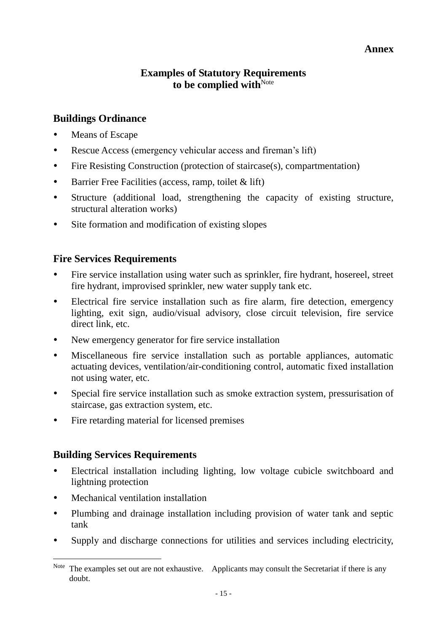#### **Annex**

## **Examples of Statutory Requirements** to be complied with<sup>Note</sup>

# <span id="page-14-0"></span>**Buildings Ordinance**

- Means of Escape
- Rescue Access (emergency vehicular access and fireman's lift)
- Fire Resisting Construction (protection of staircase(s), compartmentation)
- Barrier Free Facilities (access, ramp, toilet & lift)
- Structure (additional load, strengthening the capacity of existing structure, structural alteration works)
- Site formation and modification of existing slopes

# **Fire Services Requirements**

- Fire service installation using water such as sprinkler, fire hydrant, hosereel, street fire hydrant, improvised sprinkler, new water supply tank etc.
- Electrical fire service installation such as fire alarm, fire detection, emergency lighting, exit sign, audio/visual advisory, close circuit television, fire service direct link, etc.
- New emergency generator for fire service installation
- Miscellaneous fire service installation such as portable appliances, automatic actuating devices, ventilation/air-conditioning control, automatic fixed installation not using water, etc.
- Special fire service installation such as smoke extraction system, pressurisation of staircase, gas extraction system, etc.
- Fire retarding material for licensed premises

# **Building Services Requirements**

- Electrical installation including lighting, low voltage cubicle switchboard and lightning protection
- Mechanical ventilation installation

 $\overline{a}$ 

- Plumbing and drainage installation including provision of water tank and septic tank
- Supply and discharge connections for utilities and services including electricity,

Note The examples set out are not exhaustive. Applicants may consult the Secretariat if there is any doubt.